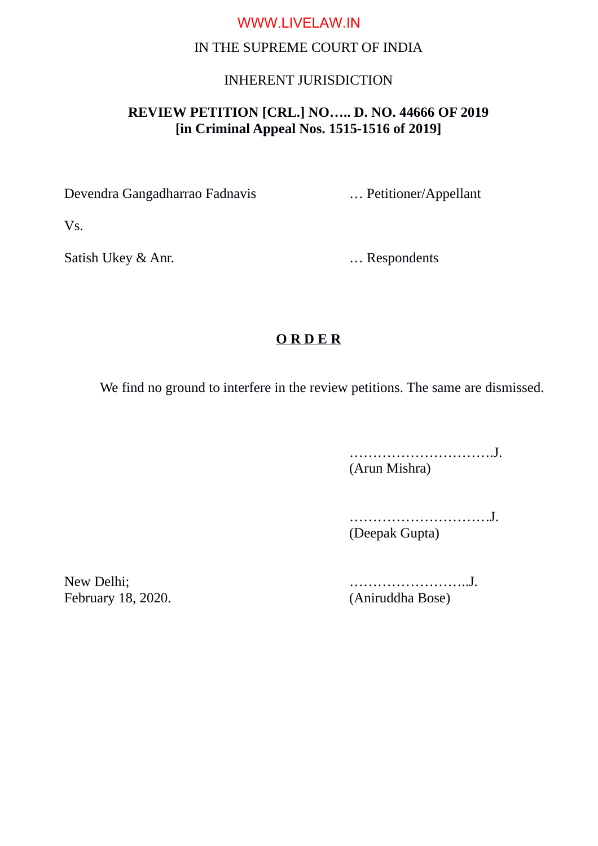# WWW.LIVELAW.IN

### IN THE SUPREME COURT OF INDIA

#### INHERENT JURISDICTION

## **REVIEW PETITION [CRL.] NO….. D. NO. 44666 OF 2019 [in Criminal Appeal Nos. 1515-1516 of 2019]**

Devendra Gangadharrao Fadnavis … Petitioner/Appellant

Vs.

Satish Ukey & Anr. **Example 19 Solution** 1. Respondents

## **O R D E R**

We find no ground to interfere in the review petitions. The same are dismissed.

………………………….J. (Arun Mishra)

…………………………J. (Deepak Gupta)

February 18, 2020. (Aniruddha Bose)

New Delhi; ……………………..J.